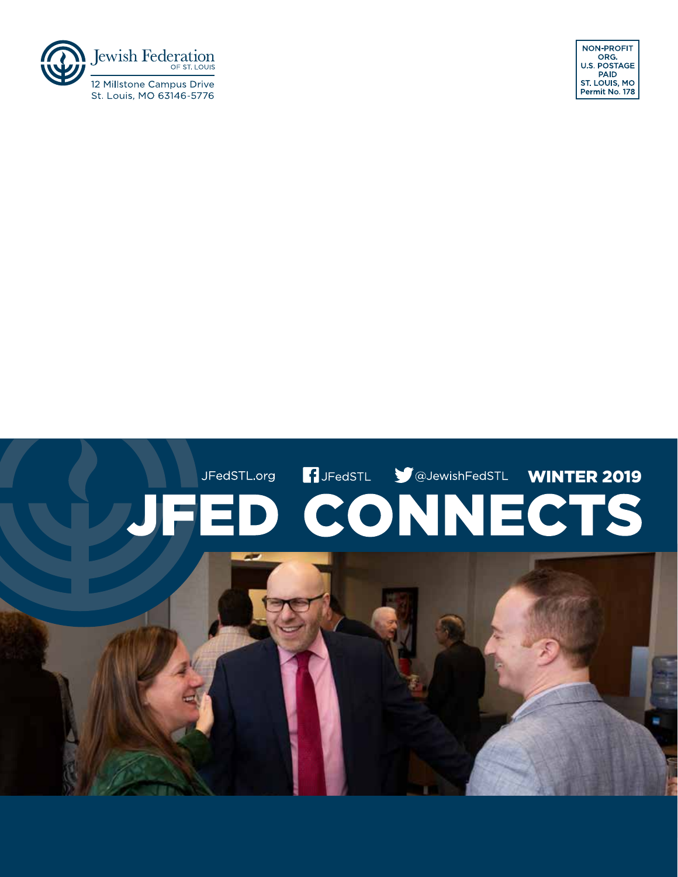# JFedSTL.org **1** JFedSTL **WINTER 2019 JFED CONNECTS**

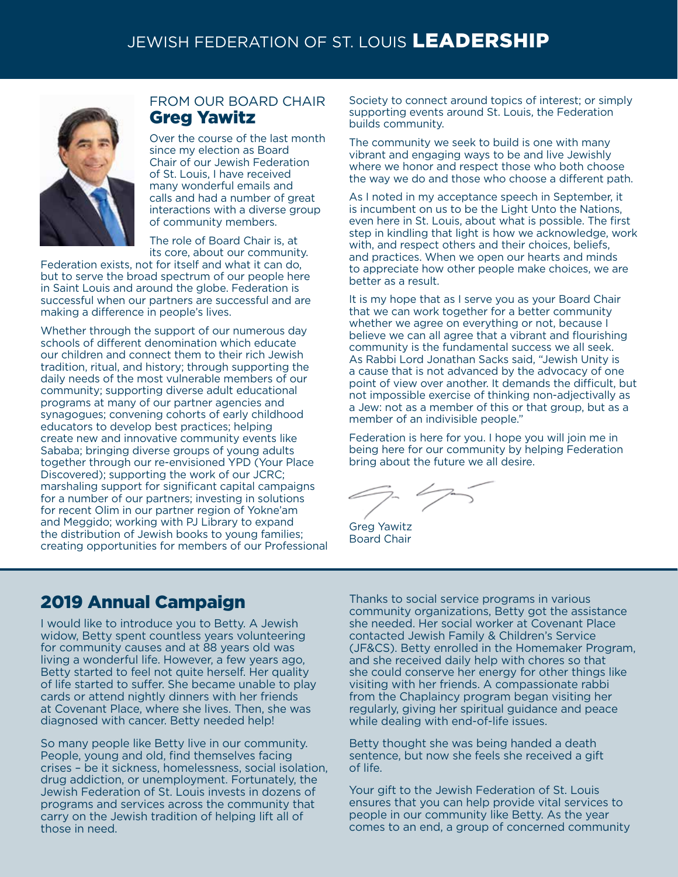# JEWISH FEDERATION OF ST. LOUIS LEADERSHIP JEWISH FEDERATION OF ST. LOUIS LEADERSHIP



#### FROM OUR BOARD CHAIR Greg Yawitz

Over the course of the last month since my election as Board Chair of our Jewish Federation of St. Louis, I have received many wonderful emails and calls and had a number of great interactions with a diverse group of community members.

The role of Board Chair is, at its core, about our community.

Federation exists, not for itself and what it can do, but to serve the broad spectrum of our people here in Saint Louis and around the globe. Federation is successful when our partners are successful and are making a difference in people's lives.

Whether through the support of our numerous day schools of different denomination which educate our children and connect them to their rich Jewish tradition, ritual, and history; through supporting the daily needs of the most vulnerable members of our community; supporting diverse adult educational programs at many of our partner agencies and synagogues; convening cohorts of early childhood educators to develop best practices; helping create new and innovative community events like Sababa; bringing diverse groups of young adults together through our re-envisioned YPD (Your Place Discovered); supporting the work of our JCRC; marshaling support for significant capital campaigns for a number of our partners; investing in solutions for recent Olim in our partner region of Yokne'am and Meggido; working with PJ Library to expand the distribution of Jewish books to young families; creating opportunities for members of our Professional Society to connect around topics of interest; or simply supporting events around St. Louis, the Federation builds community.

The community we seek to build is one with many vibrant and engaging ways to be and live Jewishly where we honor and respect those who both choose the way we do and those who choose a different path.

As I noted in my acceptance speech in September, it is incumbent on us to be the Light Unto the Nations, even here in St. Louis, about what is possible. The first step in kindling that light is how we acknowledge, work with, and respect others and their choices, beliefs, and practices. When we open our hearts and minds to appreciate how other people make choices, we are better as a result.

It is my hope that as I serve you as your Board Chair that we can work together for a better community whether we agree on everything or not, because I believe we can all agree that a vibrant and flourishing community is the fundamental success we all seek. As Rabbi Lord Jonathan Sacks said, "Jewish Unity is a cause that is not advanced by the advocacy of one point of view over another. It demands the difficult, but not impossible exercise of thinking non-adjectivally as a Jew: not as a member of this or that group, but as a member of an indivisible people."

Federation is here for you. I hope you will join me in being here for our community by helping Federation bring about the future we all desire.

Greg Yawitz Board Chair

# 2019 Annual Campaign

I would like to introduce you to Betty. A Jewish widow, Betty spent countless years volunteering for community causes and at 88 years old was living a wonderful life. However, a few years ago, Betty started to feel not quite herself. Her quality of life started to suffer. She became unable to play cards or attend nightly dinners with her friends at Covenant Place, where she lives. Then, she was diagnosed with cancer. Betty needed help!

So many people like Betty live in our community. People, young and old, find themselves facing crises – be it sickness, homelessness, social isolation, drug addiction, or unemployment. Fortunately, the Jewish Federation of St. Louis invests in dozens of programs and services across the community that carry on the Jewish tradition of helping lift all of those in need.

Thanks to social service programs in various community organizations, Betty got the assistance she needed. Her social worker at Covenant Place contacted Jewish Family & Children's Service (JF&CS). Betty enrolled in the Homemaker Program, and she received daily help with chores so that she could conserve her energy for other things like visiting with her friends. A compassionate rabbi from the Chaplaincy program began visiting her regularly, giving her spiritual guidance and peace while dealing with end-of-life issues.

Betty thought she was being handed a death sentence, but now she feels she received a gift of life.

Your gift to the Jewish Federation of St. Louis ensures that you can help provide vital services to people in our community like Betty. As the year comes to an end, a group of concerned community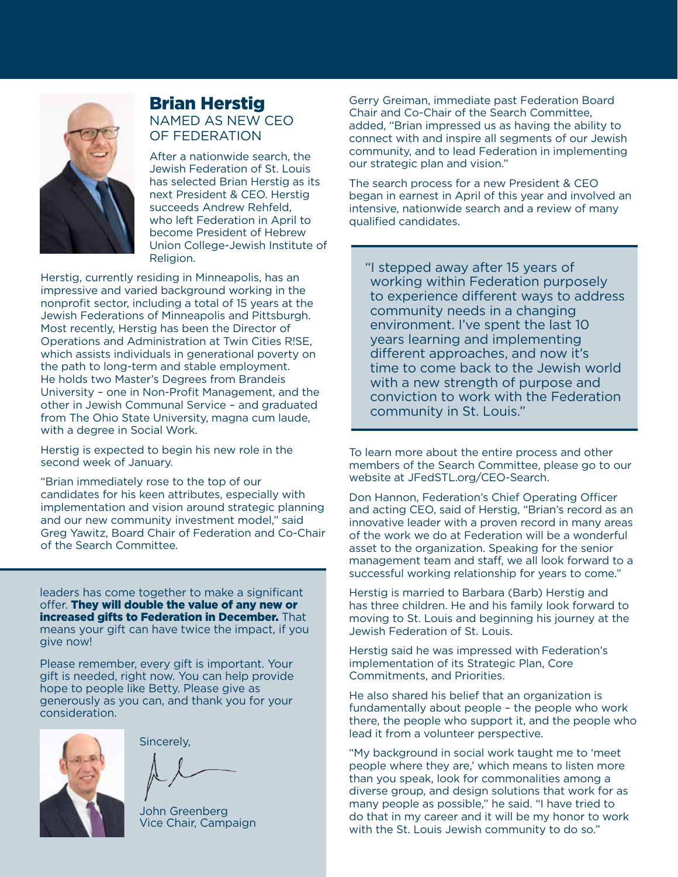

#### Brian Herstig NAMED AS NEW CEO OF FEDERATION

After a nationwide search, the Jewish Federation of St. Louis has selected Brian Herstig as its next President & CEO. Herstig succeeds Andrew Rehfeld, who left Federation in April to become President of Hebrew Union College-Jewish Institute of Religion.

Herstig, currently residing in Minneapolis, has an impressive and varied background working in the nonprofit sector, including a total of 15 years at the Jewish Federations of Minneapolis and Pittsburgh. Most recently, Herstig has been the Director of Operations and Administration at Twin Cities R!SE, which assists individuals in generational poverty on the path to long-term and stable employment. He holds two Master's Degrees from Brandeis University – one in Non-Profit Management, and the other in Jewish Communal Service – and graduated from The Ohio State University, magna cum laude, with a degree in Social Work.

Herstig is expected to begin his new role in the second week of January.

"Brian immediately rose to the top of our candidates for his keen attributes, especially with implementation and vision around strategic planning and our new community investment model," said Greg Yawitz, Board Chair of Federation and Co-Chair of the Search Committee.

leaders has come together to make a significant offer. They will double the value of any new or increased gifts to Federation in December. That means your gift can have twice the impact, if you give now!

Please remember, every gift is important. Your gift is needed, right now. You can help provide hope to people like Betty. Please give as generously as you can, and thank you for your consideration.



Sincerely,

John Greenberg Vice Chair, Campaign

Gerry Greiman, immediate past Federation Board Chair and Co-Chair of the Search Committee, added, "Brian impressed us as having the ability to connect with and inspire all segments of our Jewish community, and to lead Federation in implementing our strategic plan and vision."

The search process for a new President & CEO began in earnest in April of this year and involved an intensive, nationwide search and a review of many qualified candidates.

"I stepped away after 15 years of working within Federation purposely to experience different ways to address community needs in a changing environment. I've spent the last 10 years learning and implementing different approaches, and now it's time to come back to the Jewish world with a new strength of purpose and conviction to work with the Federation community in St. Louis."

To learn more about the entire process and other members of the Search Committee, please go to our website at JFedSTL.org/CEO-Search.

Don Hannon, Federation's Chief Operating Officer and acting CEO, said of Herstig, "Brian's record as an innovative leader with a proven record in many areas of the work we do at Federation will be a wonderful asset to the organization. Speaking for the senior management team and staff, we all look forward to a successful working relationship for years to come."

Herstig is married to Barbara (Barb) Herstig and has three children. He and his family look forward to moving to St. Louis and beginning his journey at the Jewish Federation of St. Louis.

Herstig said he was impressed with Federation's implementation of its Strategic Plan, Core Commitments, and Priorities.

He also shared his belief that an organization is fundamentally about people – the people who work there, the people who support it, and the people who lead it from a volunteer perspective.

"My background in social work taught me to 'meet people where they are,' which means to listen more than you speak, look for commonalities among a diverse group, and design solutions that work for as many people as possible," he said. "I have tried to do that in my career and it will be my honor to work with the St. Louis Jewish community to do so."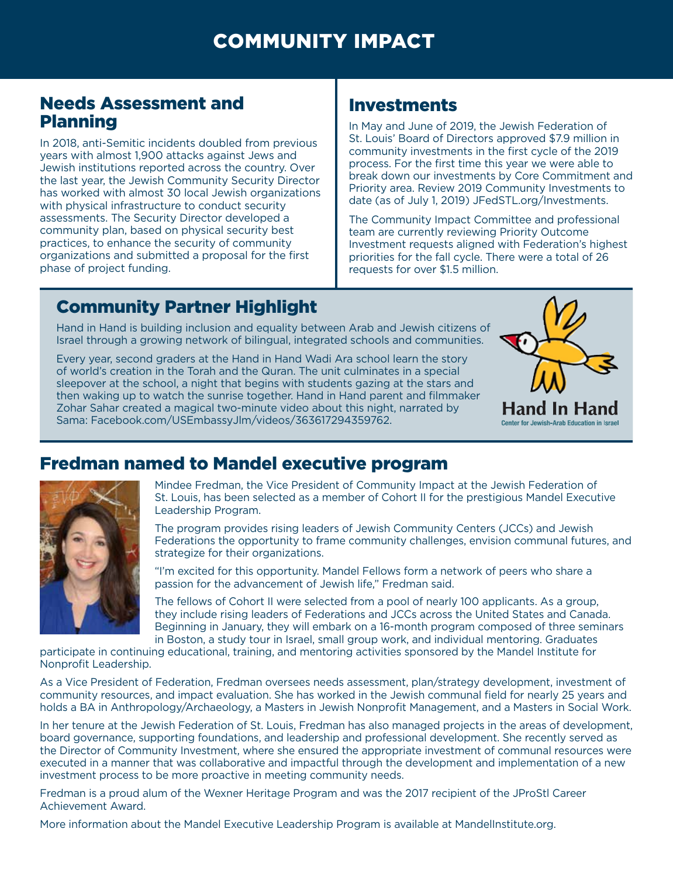# Needs Assessment and Planning

In 2018, anti-Semitic incidents doubled from previous years with almost 1,900 attacks against Jews and Jewish institutions reported across the country. Over the last year, the Jewish Community Security Director has worked with almost 30 local Jewish organizations with physical infrastructure to conduct security assessments. The Security Director developed a community plan, based on physical security best practices, to enhance the security of community organizations and submitted a proposal for the first phase of project funding.

# Investments

In May and June of 2019, the Jewish Federation of St. Louis' Board of Directors approved \$7.9 million in community investments in the first cycle of the 2019 process. For the first time this year we were able to break down our investments by Core Commitment and Priority area. Review 2019 Community Investments to date (as of July 1, 2019) JFedSTL.org/Investments.

The Community Impact Committee and professional team are currently reviewing Priority Outcome Investment requests aligned with Federation's highest priorities for the fall cycle. There were a total of 26 requests for over \$1.5 million.

# Community Partner Highlight

Hand in Hand is building inclusion and equality between Arab and Jewish citizens of Israel through a growing network of bilingual, integrated schools and communities.

Every year, second graders at the Hand in Hand Wadi Ara school learn the story of world's creation in the Torah and the Quran. The unit culminates in a special sleepover at the school, a night that begins with students gazing at the stars and then waking up to watch the sunrise together. Hand in Hand parent and filmmaker Zohar Sahar created a magical two-minute video about this night, narrated by Sama: [Facebook.com/USEmbassyJlm/videos/363617294359762.](Facebook.com/USEmbassyJim/videos/363617294359762)





# Fredman named to Mandel executive program

Mindee Fredman, the Vice President of Community Impact at the Jewish Federation of St. Louis, has been selected as a member of Cohort II for the prestigious Mandel Executive Leadership Program.

The program provides rising leaders of Jewish Community Centers (JCCs) and Jewish Federations the opportunity to frame community challenges, envision communal futures, and strategize for their organizations.

"I'm excited for this opportunity. Mandel Fellows form a network of peers who share a passion for the advancement of Jewish life," Fredman said.

The fellows of Cohort II were selected from a pool of nearly 100 applicants. As a group, they include rising leaders of Federations and JCCs across the United States and Canada. Beginning in January, they will embark on a 16-month program composed of three seminars in Boston, a study tour in Israel, small group work, and individual mentoring. Graduates

participate in continuing educational, training, and mentoring activities sponsored by the Mandel Institute for Nonprofit Leadership.

As a Vice President of Federation, Fredman oversees needs assessment, plan/strategy development, investment of community resources, and impact evaluation. She has worked in the Jewish communal field for nearly 25 years and holds a BA in Anthropology/Archaeology, a Masters in Jewish Nonprofit Management, and a Masters in Social Work.

In her tenure at the Jewish Federation of St. Louis, Fredman has also managed projects in the areas of development, board governance, supporting foundations, and leadership and professional development. She recently served as the Director of Community Investment, where she ensured the appropriate investment of communal resources were executed in a manner that was collaborative and impactful through the development and implementation of a new investment process to be more proactive in meeting community needs.

Fredman is a proud alum of the Wexner Heritage Program and was the 2017 recipient of the JProStl Career Achievement Award.

More information about the Mandel Executive Leadership Program is available at [MandelInstitute.org.](http://www.MandelInstitute.org)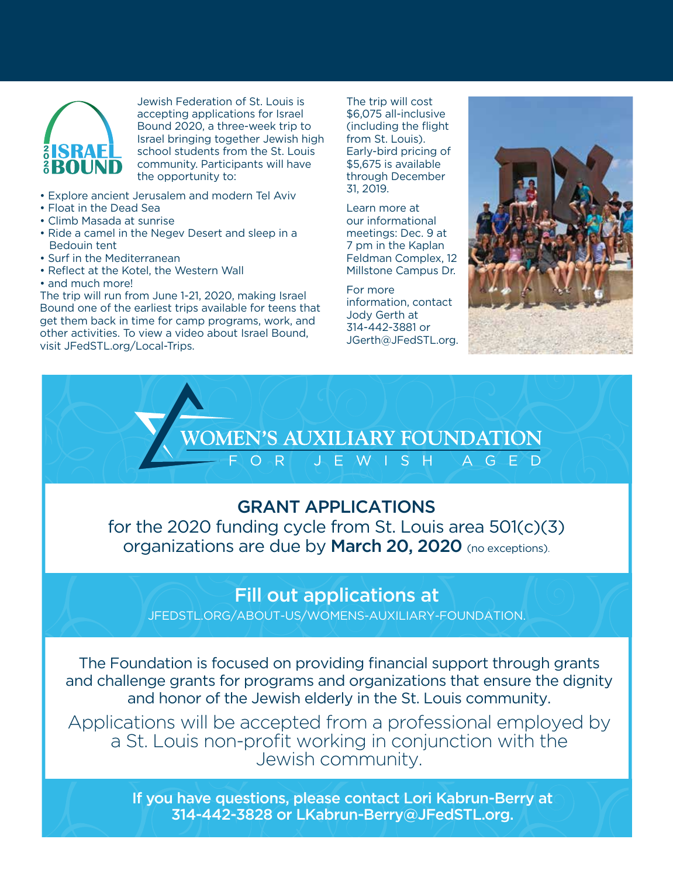

Jewish Federation of St. Louis is accepting applications for Israel Bound 2020, a three-week trip to Israel bringing together Jewish high school students from the St. Louis community. Participants will have the opportunity to:

- Explore ancient Jerusalem and modern Tel Aviv
- Float in the Dead Sea
- Climb Masada at sunrise
- Ride a camel in the Negev Desert and sleep in a Bedouin tent
- Surf in the Mediterranean
- Reflect at the Kotel, the Western Wall
- and much more!

The trip will run from June 1-21, 2020, making Israel Bound one of the earliest trips available for teens that get them back in time for camp programs, work, and other activities. To view a video about Israel Bound, visit [JFedSTL.org/Local-Trips.](www.jfedstl.org/Local-Trips) 

The trip will cost \$6,075 all-inclusive (including the flight from St. Louis). Early-bird pricing of \$5,675 is available through December 31, 2019.

Learn more at our informational meetings: Dec. 9 at 7 pm in the Kaplan Feldman Complex, 12 Millstone Campus Dr.

For more information, contact Jody Gerth at 314-442-3881 or [JGerth@JFedSTL.org.](mailto:jgerth@jfedstl.org)



# **OMEN'S AUXILIARY FOUNDATION**<br>  $-$  F O R (J E W I S H A G E D GRANT APPLICATIONS for the 2020 funding cycle from St. Louis area 501(c)(3)

organizations are due by March 20, 2020 (no exceptions).

# Fill out applications at

[JFEDSTL.ORG/ABOUT-US/WOMENS-AUXILIARY-FOUNDATION.](www.jfedstl.org/about-us/womens-auxiliary-foundation)

The Foundation is focused on providing financial support through grants and challenge grants for programs and organizations that ensure the dignity and honor of the Jewish elderly in the St. Louis community.

Applications will be accepted from a professional employed by a St. Louis non-profit working in conjunction with the Jewish community.

> If you have questions, please contact Lori Kabrun-Berry at 314-442-3828 or [LKabrun-Berry@JFedSTL.org.](mailto:lkabrun-berry@jfedstl.org)